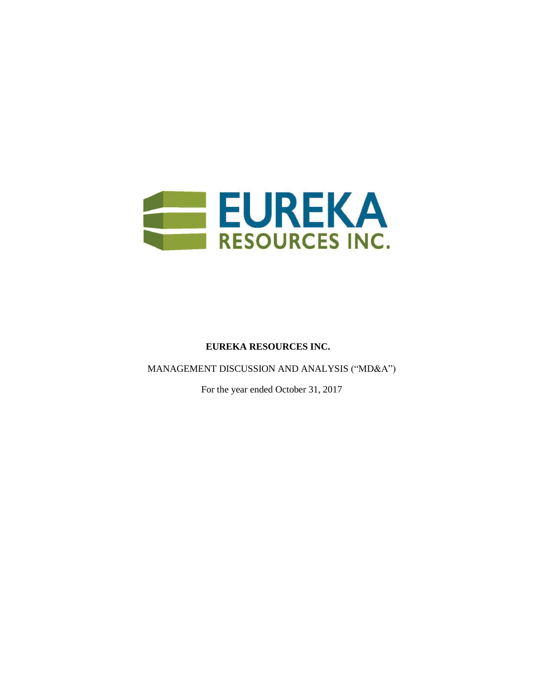

# **EUREKA RESOURCES INC.**

MANAGEMENT DISCUSSION AND ANALYSIS ("MD&A")

For the year ended October 31, 2017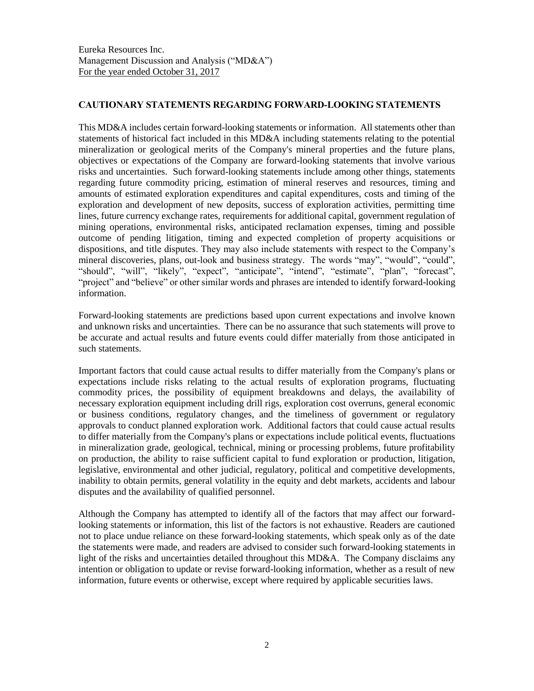## CAUTIONARY STATEMENTS REGARDING FORWARD-LOOKING STATEMENTS

This MD&A includes certain forward-looking statements or information. All statements other than statements of historical fact included in this MD&A including statements relating to the potential mineralization or geological merits of the Company's mineral properties and the future plans, objectives or expectations of the Company are forward-looking statements that involve various risks and uncertainties. Such forward-looking statements include among other things, statements regarding future commodity pricing, estimation of mineral reserves and resources, timing and amounts of estimated exploration expenditures and capital expenditures, costs and timing of the exploration and development of new deposits, success of exploration activities, permitting time lines, future currency exchange rates, requirements for additional capital, government regulation of mining operations, environmental risks, anticipated reclamation expenses, timing and possible outcome of pending litigation, timing and expected completion of property acquisitions or dispositions, and title disputes. They may also include statements with respect to the Company's mineral discoveries, plans, out-look and business strategy. The words "may", "would", "could", "should", "will", "likely", "expect", "anticipate", "intend", "estimate", "plan", "forecast", "project" and "believe" or other similar words and phrases are intended to identify forward-looking information.

Forward-looking statements are predictions based upon current expectations and involve known and unknown risks and uncertainties. There can be no assurance that such statements will prove to be accurate and actual results and future events could differ materially from those anticipated in such statements.

Important factors that could cause actual results to differ materially from the Company's plans or expectations include risks relating to the actual results of exploration programs, fluctuating commodity prices, the possibility of equipment breakdowns and delays, the availability of necessary exploration equipment including drill rigs, exploration cost overruns, general economic or business conditions, regulatory changes, and the timeliness of government or regulatory approvals to conduct planned exploration work. Additional factors that could cause actual results to differ materially from the Company's plans or expectations include political events, fluctuations in mineralization grade, geological, technical, mining or processing problems, future profitability on production, the ability to raise sufficient capital to fund exploration or production, litigation, legislative, environmental and other judicial, regulatory, political and competitive developments, inability to obtain permits, general volatility in the equity and debt markets, accidents and labour disputes and the availability of qualified personnel.

Although the Company has attempted to identify all of the factors that may affect our forwardlooking statements or information, this list of the factors is not exhaustive. Readers are cautioned not to place undue reliance on these forward-looking statements, which speak only as of the date the statements were made, and readers are advised to consider such forward-looking statements in light of the risks and uncertainties detailed throughout this MD&A. The Company disclaims any intention or obligation to update or revise forward-looking information, whether as a result of new information, future events or otherwise, except where required by applicable securities laws.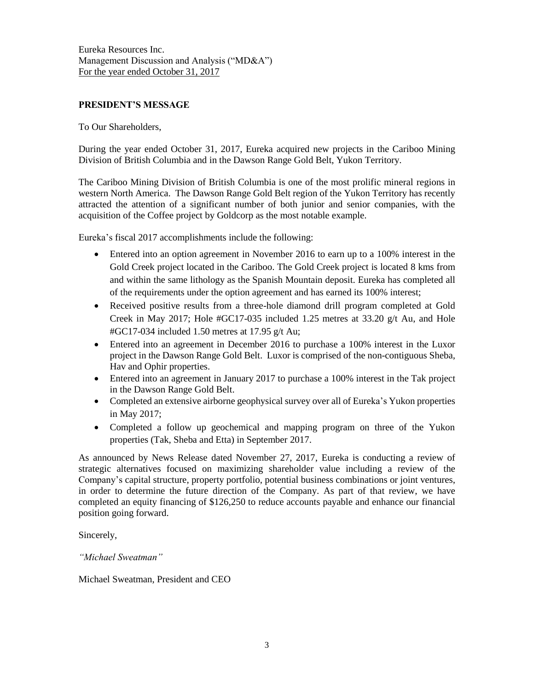## PRESIDENT'S MESSAGE

To Our Shareholders,

During the year ended October 31, 2017, Eureka acquired new projects in the Cariboo Mining Division of British Columbia and in the Dawson Range Gold Belt, Yukon Territory.

The Cariboo Mining Division of British Columbia is one of the most prolific mineral regions in western North America. The Dawson Range Gold Belt region of the Yukon Territory has recently attracted the attention of a significant number of both junior and senior companies, with the acquisition of the Coffee project by Goldcorp as the most notable example.

Eureka's fiscal 2017 accomplishments include the following:

- Entered into an option agreement in November 2016 to earn up to a 100% interest in the Gold Creek project located in the Cariboo. The Gold Creek project is located 8 kms from and within the same lithology as the Spanish Mountain deposit. Eureka has completed all of the requirements under the option agreement and has earned its 100% interest;
- Received positive results from a three-hole diamond drill program completed at Gold Creek in May 2017; Hole #GC17-035 included 1.25 metres at 33.20 g/t Au, and Hole #GC17-034 included 1.50 metres at 17.95 g/t Au;
- Entered into an agreement in December 2016 to purchase a 100% interest in the Luxor project in the Dawson Range Gold Belt. Luxor is comprised of the non-contiguous Sheba, Hav and Ophir properties.
- Entered into an agreement in January 2017 to purchase a 100% interest in the Tak project in the Dawson Range Gold Belt.
- Completed an extensive airborne geophysical survey over all of Eureka's Yukon properties in May 2017;
- Completed a follow up geochemical and mapping program on three of the Yukon properties (Tak, Sheba and Etta) in September 2017.

As announced by News Release dated November 27, 2017, Eureka is conducting a review of strategic alternatives focused on maximizing shareholder value including a review of the Company's capital structure, property portfolio, potential business combinations or joint ventures, in order to determine the future direction of the Company. As part of that review, we have completed an equity financing of \$126,250 to reduce accounts payable and enhance our financial position going forward.

Sincerely,

*"Michael Sweatman"*

Michael Sweatman, President and CEO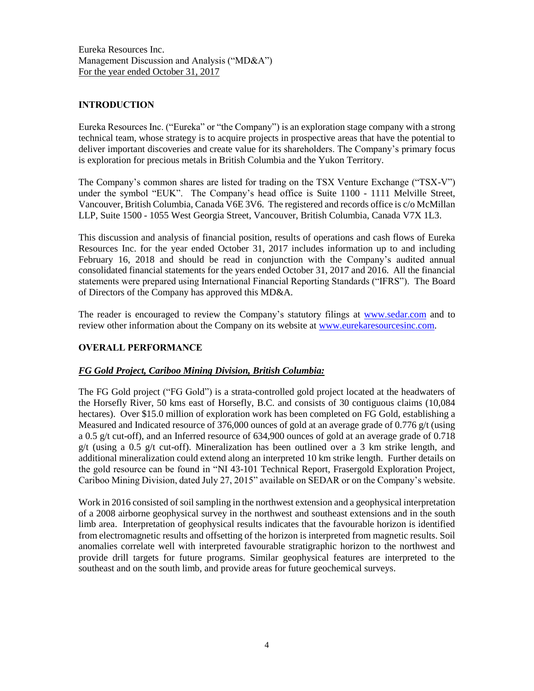## INTRODUCTION

Eureka Resources Inc. ("Eureka" or "the Company") is an exploration stage company with a strong technical team, whose strategy is to acquire projects in prospective areas that have the potential to deliver important discoveries and create value for its shareholders. The Company's primary focus is exploration for precious metals in British Columbia and the Yukon Territory.

The Company's common shares are listed for trading on the TSX Venture Exchange ("TSX-V") under the symbol "EUK". The Company's head office is Suite 1100 - 1111 Melville Street, Vancouver, British Columbia, Canada V6E 3V6. The registered and records office is c/o McMillan LLP, Suite 1500 - 1055 West Georgia Street, Vancouver, British Columbia, Canada V7X 1L3.

This discussion and analysis of financial position, results of operations and cash flows of Eureka Resources Inc. for the year ended October 31, 2017 includes information up to and including February 16, 2018 and should be read in conjunction with the Company's audited annual consolidated financial statements for the years ended October 31, 2017 and 2016. All the financial statements were prepared using International Financial Reporting Standards ("IFRS"). The Board of Directors of the Company has approved this MD&A.

The reader is encouraged to review the Company's statutory filings at [www.sedar.com](http://www.sedar.com/) and to review other information about the Company on its website at [www.eurekaresourcesinc.com.](http://www.eurekaresourcesinc.com/)

# OVERALL PERFORMANCE

## *FG Gold Project, Cariboo Mining Division, British Columbia:*

The FG Gold project ("FG Gold") is a strata-controlled gold project located at the headwaters of the Horsefly River, 50 kms east of Horsefly, B.C. and consists of 30 contiguous claims (10,084 hectares). Over \$15.0 million of exploration work has been completed on FG Gold, establishing a Measured and Indicated resource of 376,000 ounces of gold at an average grade of 0.776  $g/t$  (using a 0.5 g/t cut-off), and an Inferred resource of 634,900 ounces of gold at an average grade of 0.718 g/t (using a 0.5 g/t cut-off). Mineralization has been outlined over a 3 km strike length, and additional mineralization could extend along an interpreted 10 km strike length. Further details on the gold resource can be found in "NI 43-101 Technical Report, Frasergold Exploration Project, Cariboo Mining Division, dated July 27, 2015" available on SEDAR or on the Company's website.

Work in 2016 consisted of soil sampling in the northwest extension and a geophysical interpretation of a 2008 airborne geophysical survey in the northwest and southeast extensions and in the south limb area. Interpretation of geophysical results indicates that the favourable horizon is identified from electromagnetic results and offsetting of the horizon is interpreted from magnetic results. Soil anomalies correlate well with interpreted favourable stratigraphic horizon to the northwest and provide drill targets for future programs. Similar geophysical features are interpreted to the southeast and on the south limb, and provide areas for future geochemical surveys.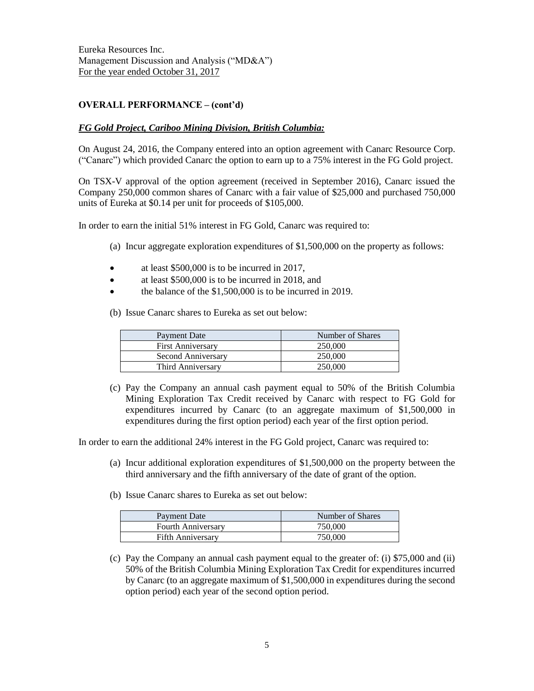## OVERALL PERFORMANCE – (cont'd)

#### *FG Gold Project, Cariboo Mining Division, British Columbia:*

On August 24, 2016, the Company entered into an option agreement with Canarc Resource Corp. ("Canarc") which provided Canarc the option to earn up to a 75% interest in the FG Gold project.

On TSX-V approval of the option agreement (received in September 2016), Canarc issued the Company 250,000 common shares of Canarc with a fair value of \$25,000 and purchased 750,000 units of Eureka at \$0.14 per unit for proceeds of \$105,000.

In order to earn the initial 51% interest in FG Gold, Canarc was required to:

- (a) Incur aggregate exploration expenditures of \$1,500,000 on the property as follows:
- at least \$500,000 is to be incurred in 2017,
- at least \$500,000 is to be incurred in 2018, and
- the balance of the \$1,500,000 is to be incurred in 2019.
- (b) Issue Canarc shares to Eureka as set out below:

| <b>Payment Date</b>      | Number of Shares |
|--------------------------|------------------|
| <b>First Anniversary</b> | 250,000          |
| Second Anniversary       | 250,000          |
| Third Anniversary        | 250,000          |

(c) Pay the Company an annual cash payment equal to 50% of the British Columbia Mining Exploration Tax Credit received by Canarc with respect to FG Gold for expenditures incurred by Canarc (to an aggregate maximum of \$1,500,000 in expenditures during the first option period) each year of the first option period.

In order to earn the additional 24% interest in the FG Gold project, Canarc was required to:

- (a) Incur additional exploration expenditures of \$1,500,000 on the property between the third anniversary and the fifth anniversary of the date of grant of the option.
- (b) Issue Canarc shares to Eureka as set out below:

| Payment Date              | Number of Shares |
|---------------------------|------------------|
| <b>Fourth Anniversary</b> | 750,000          |
| <b>Fifth Anniversary</b>  | 750,000          |

(c) Pay the Company an annual cash payment equal to the greater of: (i) \$75,000 and (ii) 50% of the British Columbia Mining Exploration Tax Credit for expenditures incurred by Canarc (to an aggregate maximum of \$1,500,000 in expenditures during the second option period) each year of the second option period.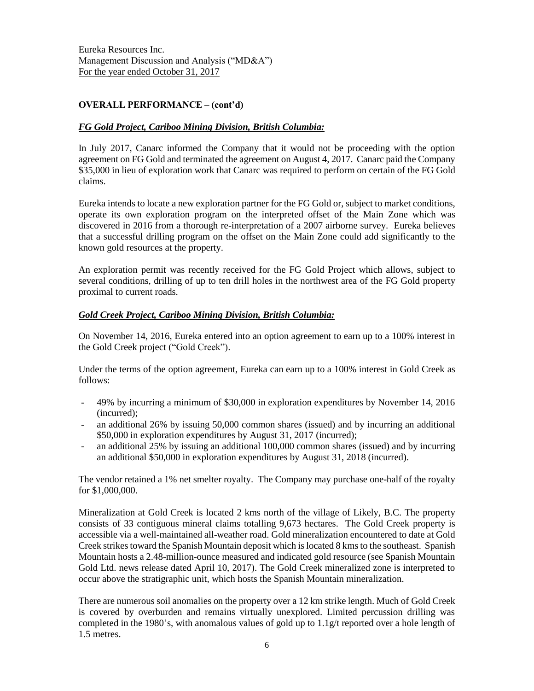# OVERALL PERFORMANCE – (cont'd)

# *FG Gold Project, Cariboo Mining Division, British Columbia:*

In July 2017, Canarc informed the Company that it would not be proceeding with the option agreement on FG Gold and terminated the agreement on August 4, 2017. Canarc paid the Company \$35,000 in lieu of exploration work that Canarc was required to perform on certain of the FG Gold claims.

Eureka intends to locate a new exploration partner for the FG Gold or, subject to market conditions, operate its own exploration program on the interpreted offset of the Main Zone which was discovered in 2016 from a thorough re-interpretation of a 2007 airborne survey. Eureka believes that a successful drilling program on the offset on the Main Zone could add significantly to the known gold resources at the property.

An exploration permit was recently received for the FG Gold Project which allows, subject to several conditions, drilling of up to ten drill holes in the northwest area of the FG Gold property proximal to current roads.

## *Gold Creek Project, Cariboo Mining Division, British Columbia:*

On November 14, 2016, Eureka entered into an option agreement to earn up to a 100% interest in the Gold Creek project ("Gold Creek").

Under the terms of the option agreement, Eureka can earn up to a 100% interest in Gold Creek as follows:

- 49% by incurring a minimum of \$30,000 in exploration expenditures by November 14, 2016 (incurred);
- an additional 26% by issuing 50,000 common shares (issued) and by incurring an additional \$50,000 in exploration expenditures by August 31, 2017 (incurred);
- an additional 25% by issuing an additional 100,000 common shares (issued) and by incurring an additional \$50,000 in exploration expenditures by August 31, 2018 (incurred).

The vendor retained a 1% net smelter royalty. The Company may purchase one-half of the royalty for \$1,000,000.

Mineralization at Gold Creek is located 2 kms north of the village of Likely, B.C. The property consists of 33 contiguous mineral claims totalling 9,673 hectares. The Gold Creek property is accessible via a well-maintained all-weather road. Gold mineralization encountered to date at Gold Creek strikes toward the Spanish Mountain deposit which is located 8 kmsto the southeast. Spanish Mountain hosts a 2.48-million-ounce measured and indicated gold resource (see Spanish Mountain Gold Ltd. news release dated April 10, 2017). The Gold Creek mineralized zone is interpreted to occur above the stratigraphic unit, which hosts the Spanish Mountain mineralization.

There are numerous soil anomalies on the property over a 12 km strike length. Much of Gold Creek is covered by overburden and remains virtually unexplored. Limited percussion drilling was completed in the 1980's, with anomalous values of gold up to 1.1g/t reported over a hole length of 1.5 metres.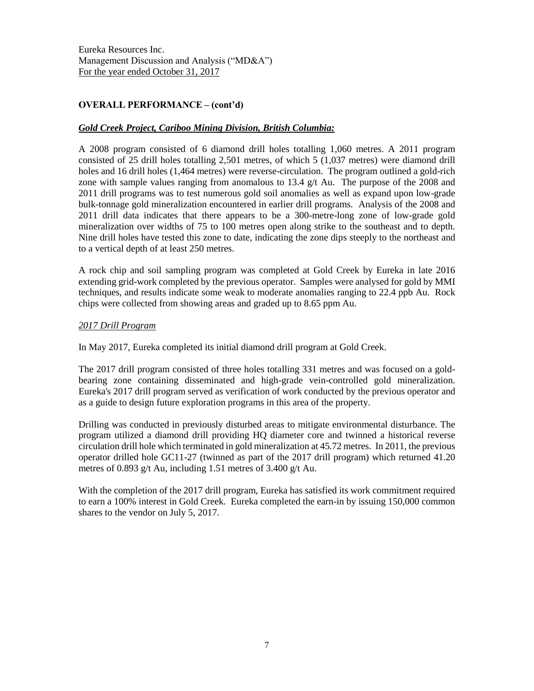# OVERALL PERFORMANCE – (cont'd)

## *Gold Creek Project, Cariboo Mining Division, British Columbia:*

A 2008 program consisted of 6 diamond drill holes totalling 1,060 metres. A 2011 program consisted of 25 drill holes totalling 2,501 metres, of which 5 (1,037 metres) were diamond drill holes and 16 drill holes (1,464 metres) were reverse-circulation. The program outlined a gold-rich zone with sample values ranging from anomalous to 13.4 g/t Au. The purpose of the 2008 and 2011 drill programs was to test numerous gold soil anomalies as well as expand upon low-grade bulk-tonnage gold mineralization encountered in earlier drill programs. Analysis of the 2008 and 2011 drill data indicates that there appears to be a 300-metre-long zone of low-grade gold mineralization over widths of 75 to 100 metres open along strike to the southeast and to depth. Nine drill holes have tested this zone to date, indicating the zone dips steeply to the northeast and to a vertical depth of at least 250 metres.

A rock chip and soil sampling program was completed at Gold Creek by Eureka in late 2016 extending grid-work completed by the previous operator. Samples were analysed for gold by MMI techniques, and results indicate some weak to moderate anomalies ranging to 22.4 ppb Au. Rock chips were collected from showing areas and graded up to 8.65 ppm Au.

## *2017 Drill Program*

In May 2017, Eureka completed its initial diamond drill program at Gold Creek.

The 2017 drill program consisted of three holes totalling 331 metres and was focused on a goldbearing zone containing disseminated and high-grade vein-controlled gold mineralization. Eureka's 2017 drill program served as verification of work conducted by the previous operator and as a guide to design future exploration programs in this area of the property.

Drilling was conducted in previously disturbed areas to mitigate environmental disturbance. The program utilized a diamond drill providing HQ diameter core and twinned a historical reverse circulation drill hole which terminated in gold mineralization at 45.72 metres. In 2011, the previous operator drilled hole GC11-27 (twinned as part of the 2017 drill program) which returned 41.20 metres of 0.893 g/t Au, including 1.51 metres of 3.400 g/t Au.

With the completion of the 2017 drill program, Eureka has satisfied its work commitment required to earn a 100% interest in Gold Creek. Eureka completed the earn-in by issuing 150,000 common shares to the vendor on July 5, 2017.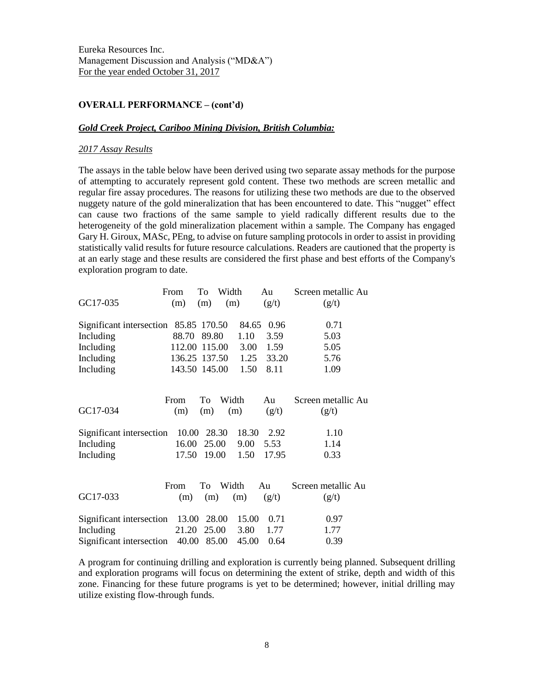## OVERALL PERFORMANCE – (cont'd)

#### *Gold Creek Project, Cariboo Mining Division, British Columbia:*

#### *2017 Assay Results*

The assays in the table below have been derived using two separate assay methods for the purpose of attempting to accurately represent gold content. These two methods are screen metallic and regular fire assay procedures. The reasons for utilizing these two methods are due to the observed nuggety nature of the gold mineralization that has been encountered to date. This "nugget" effect can cause two fractions of the same sample to yield radically different results due to the heterogeneity of the gold mineralization placement within a sample. The Company has engaged Gary H. Giroux, MASc, PEng, to advise on future sampling protocols in order to assist in providing statistically valid results for future resource calculations. Readers are cautioned that the property is at an early stage and these results are considered the first phase and best efforts of the Company's exploration program to date.

| Screen metallic Au |
|--------------------|
|                    |
|                    |
|                    |
|                    |
|                    |
|                    |
|                    |
| Screen metallic Au |
|                    |
|                    |
|                    |
|                    |
|                    |
| Screen metallic Au |
|                    |
|                    |
|                    |
|                    |
|                    |

A program for continuing drilling and exploration is currently being planned. Subsequent drilling and exploration programs will focus on determining the extent of strike, depth and width of this zone. Financing for these future programs is yet to be determined; however, initial drilling may utilize existing flow-through funds.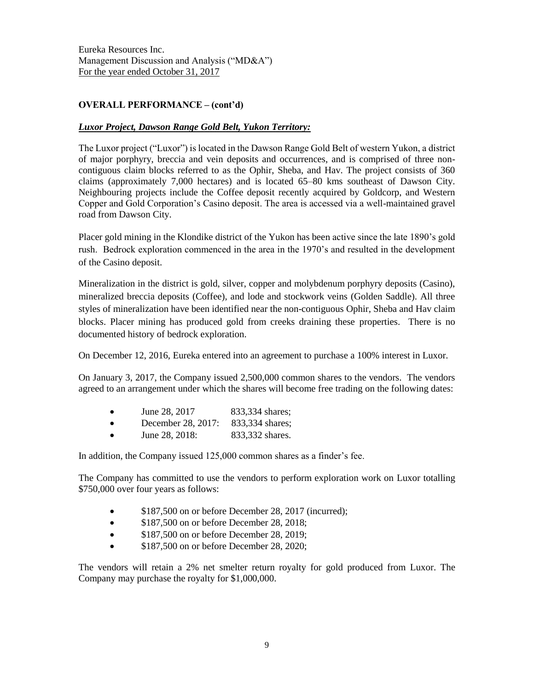# OVERALL PERFORMANCE – (cont'd)

## *Luxor Project, Dawson Range Gold Belt, Yukon Territory:*

The Luxor project ("Luxor") is located in the Dawson Range Gold Belt of western Yukon, a district of major porphyry, breccia and vein deposits and occurrences, and is comprised of three noncontiguous claim blocks referred to as the Ophir, Sheba, and Hav. The project consists of 360 claims (approximately 7,000 hectares) and is located 65–80 kms southeast of Dawson City. Neighbouring projects include the Coffee deposit recently acquired by Goldcorp, and Western Copper and Gold Corporation's Casino deposit. The area is accessed via a well-maintained gravel road from Dawson City.

Placer gold mining in the Klondike district of the Yukon has been active since the late 1890's gold rush. Bedrock exploration commenced in the area in the 1970's and resulted in the development of the Casino deposit.

Mineralization in the district is gold, silver, copper and molybdenum porphyry deposits (Casino), mineralized breccia deposits (Coffee), and lode and stockwork veins (Golden Saddle). All three styles of mineralization have been identified near the non-contiguous Ophir, Sheba and Hav claim blocks. Placer mining has produced gold from creeks draining these properties. There is no documented history of bedrock exploration.

On December 12, 2016, Eureka entered into an agreement to purchase a 100% interest in Luxor.

On January 3, 2017, the Company issued 2,500,000 common shares to the vendors. The vendors agreed to an arrangement under which the shares will become free trading on the following dates:

- June 28, 2017 833,334 shares;
- December 28, 2017: 833,334 shares:
- June 28, 2018: 833,332 shares.

In addition, the Company issued 125,000 common shares as a finder's fee.

The Company has committed to use the vendors to perform exploration work on Luxor totalling \$750,000 over four years as follows:

- \$187,500 on or before December 28, 2017 (incurred);
- \$187,500 on or before December 28, 2018;
- \$187,500 on or before December 28, 2019;
- \$187,500 on or before December 28, 2020;

The vendors will retain a 2% net smelter return royalty for gold produced from Luxor. The Company may purchase the royalty for \$1,000,000.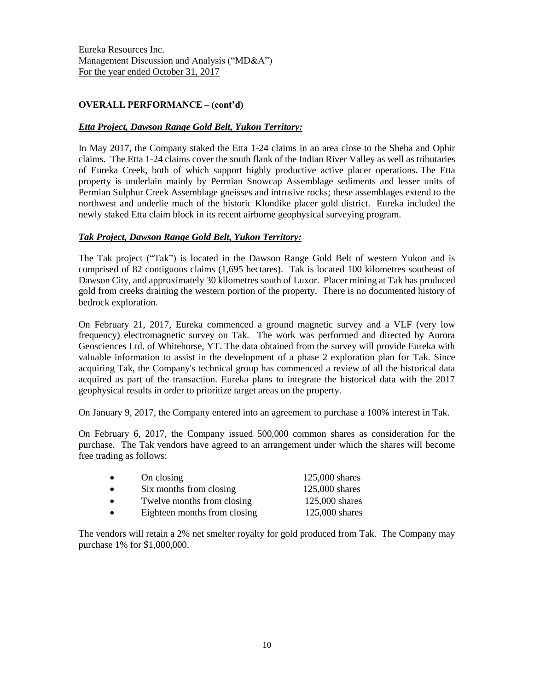# OVERALL PERFORMANCE – (cont'd)

## *Etta Project, Dawson Range Gold Belt, Yukon Territory:*

In May 2017, the Company staked the Etta 1-24 claims in an area close to the Sheba and Ophir claims. The Etta 1-24 claims cover the south flank of the Indian River Valley as well as tributaries of Eureka Creek, both of which support highly productive active placer operations. The Etta property is underlain mainly by Permian Snowcap Assemblage sediments and lesser units of Permian Sulphur Creek Assemblage gneisses and intrusive rocks; these assemblages extend to the northwest and underlie much of the historic Klondike placer gold district. Eureka included the newly staked Etta claim block in its recent airborne geophysical surveying program.

## *Tak Project, Dawson Range Gold Belt, Yukon Territory:*

The Tak project ("Tak") is located in the Dawson Range Gold Belt of western Yukon and is comprised of 82 contiguous claims (1,695 hectares). Tak is located 100 kilometres southeast of Dawson City, and approximately 30 kilometres south of Luxor. Placer mining at Tak has produced gold from creeks draining the western portion of the property. There is no documented history of bedrock exploration.

On February 21, 2017, Eureka commenced a ground magnetic survey and a VLF (very low frequency) electromagnetic survey on Tak. The work was performed and directed by Aurora Geosciences Ltd. of Whitehorse, YT. The data obtained from the survey will provide Eureka with valuable information to assist in the development of a phase 2 exploration plan for Tak. Since acquiring Tak, the Company's technical group has commenced a review of all the historical data acquired as part of the transaction. Eureka plans to integrate the historical data with the 2017 geophysical results in order to prioritize target areas on the property.

On January 9, 2017, the Company entered into an agreement to purchase a 100% interest in Tak.

On February 6, 2017, the Company issued 500,000 common shares as consideration for the purchase. The Tak vendors have agreed to an arrangement under which the shares will become free trading as follows:

| $\bullet$ | On closing                   | $125,000$ shares |
|-----------|------------------------------|------------------|
| $\bullet$ | Six months from closing      | $125,000$ shares |
| $\bullet$ | Twelve months from closing   | 125,000 shares   |
| $\bullet$ | Eighteen months from closing | 125,000 shares   |

The vendors will retain a 2% net smelter royalty for gold produced from Tak. The Company may purchase 1% for \$1,000,000.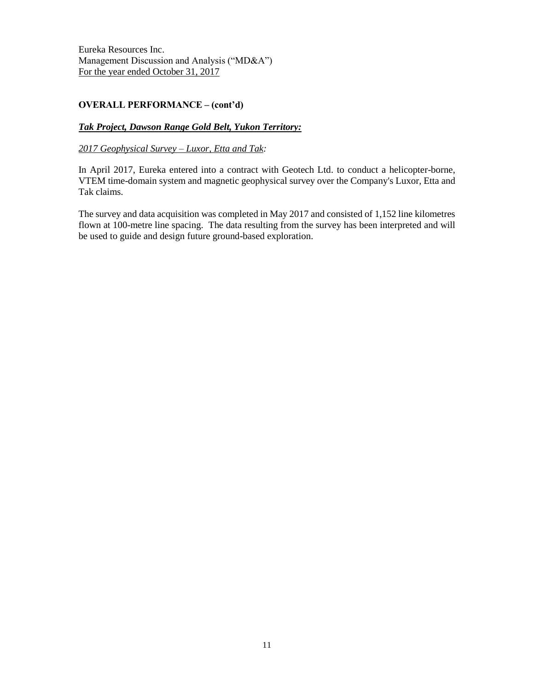# OVERALL PERFORMANCE – (cont'd)

## *Tak Project, Dawson Range Gold Belt, Yukon Territory:*

#### *2017 Geophysical Survey – Luxor, Etta and Tak:*

In April 2017, Eureka entered into a contract with Geotech Ltd. to conduct a helicopter-borne, VTEM time-domain system and magnetic geophysical survey over the Company's Luxor, Etta and Tak claims.

The survey and data acquisition was completed in May 2017 and consisted of 1,152 line kilometres flown at 100-metre line spacing. The data resulting from the survey has been interpreted and will be used to guide and design future ground-based exploration.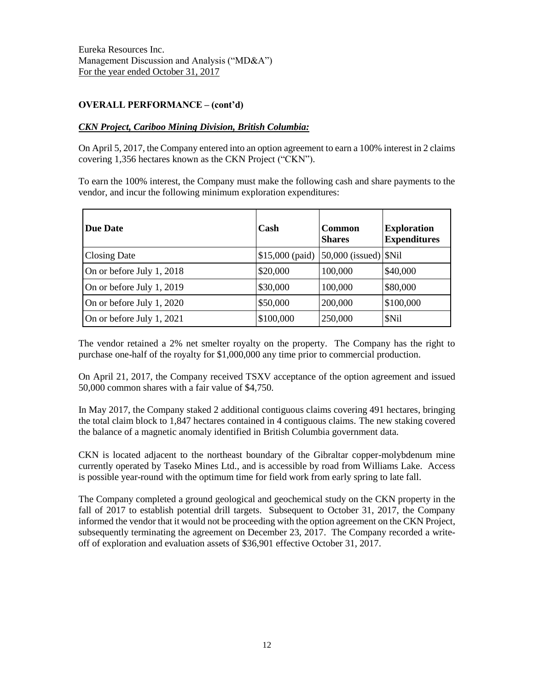# OVERALL PERFORMANCE – (cont'd)

## *CKN Project, Cariboo Mining Division, British Columbia:*

On April 5, 2017, the Company entered into an option agreement to earn a 100% interest in 2 claims covering 1,356 hectares known as the CKN Project ("CKN").

To earn the 100% interest, the Company must make the following cash and share payments to the vendor, and incur the following minimum exploration expenditures:

| <b>Due Date</b>           | Cash      | <b>Common</b><br><b>Shares</b>               | <b>Exploration</b><br><b>Expenditures</b> |
|---------------------------|-----------|----------------------------------------------|-------------------------------------------|
| <b>Closing Date</b>       |           | $$15,000$ (paid) $ 50,000$ (issued) $ \$Nil$ |                                           |
| On or before July 1, 2018 | \$20,000  | 100,000                                      | \$40,000                                  |
| On or before July 1, 2019 | \$30,000  | 100,000                                      | \$80,000                                  |
| On or before July 1, 2020 | \$50,000  | 200,000                                      | \$100,000                                 |
| On or before July 1, 2021 | \$100,000 | 250,000                                      | \$Nil                                     |

The vendor retained a 2% net smelter royalty on the property. The Company has the right to purchase one-half of the royalty for \$1,000,000 any time prior to commercial production.

On April 21, 2017, the Company received TSXV acceptance of the option agreement and issued 50,000 common shares with a fair value of \$4,750.

In May 2017, the Company staked 2 additional contiguous claims covering 491 hectares, bringing the total claim block to 1,847 hectares contained in 4 contiguous claims. The new staking covered the balance of a magnetic anomaly identified in British Columbia government data.

CKN is located adjacent to the northeast boundary of the Gibraltar copper-molybdenum mine currently operated by Taseko Mines Ltd., and is accessible by road from Williams Lake. Access is possible year-round with the optimum time for field work from early spring to late fall.

The Company completed a ground geological and geochemical study on the CKN property in the fall of 2017 to establish potential drill targets. Subsequent to October 31, 2017, the Company informed the vendor that it would not be proceeding with the option agreement on the CKN Project, subsequently terminating the agreement on December 23, 2017. The Company recorded a writeoff of exploration and evaluation assets of \$36,901 effective October 31, 2017.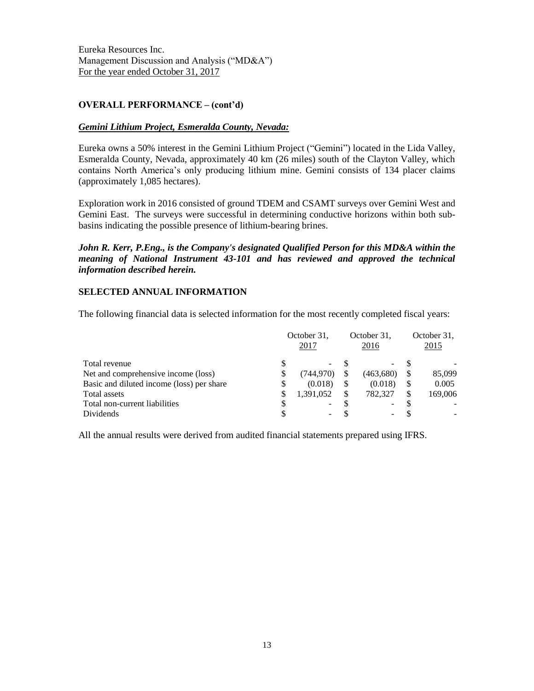## OVERALL PERFORMANCE – (cont'd)

## *Gemini Lithium Project, Esmeralda County, Nevada:*

Eureka owns a 50% interest in the Gemini Lithium Project ("Gemini") located in the Lida Valley, Esmeralda County, Nevada, approximately 40 km (26 miles) south of the Clayton Valley, which contains North America's only producing lithium mine. Gemini consists of 134 placer claims (approximately 1,085 hectares).

Exploration work in 2016 consisted of ground TDEM and CSAMT surveys over Gemini West and Gemini East. The surveys were successful in determining conductive horizons within both subbasins indicating the possible presence of lithium-bearing brines.

## *John R. Kerr, P.Eng., is the Company's designated Qualified Person for this MD&A within the meaning of National Instrument 43-101 and has reviewed and approved the technical information described herein.*

#### **SELECTED ANNUAL INFORMATION**

The following financial data is selected information for the most recently completed fiscal years:

|                                           | October 31,<br>2017 |                          | October 31,<br>2016 |           | October 31,<br>2015 |
|-------------------------------------------|---------------------|--------------------------|---------------------|-----------|---------------------|
| Total revenue                             |                     | $\overline{\phantom{a}}$ |                     |           |                     |
| Net and comprehensive income (loss)       | \$                  | (744, 970)               |                     | (463,680) | 85,099              |
| Basic and diluted income (loss) per share | S                   | (0.018)                  |                     | (0.018)   | 0.005               |
| Total assets                              | S                   | 1.391.052                |                     | 782,327   | 169,006             |
| Total non-current liabilities             |                     | -                        |                     |           |                     |
| Dividends                                 |                     |                          |                     |           |                     |

All the annual results were derived from audited financial statements prepared using IFRS.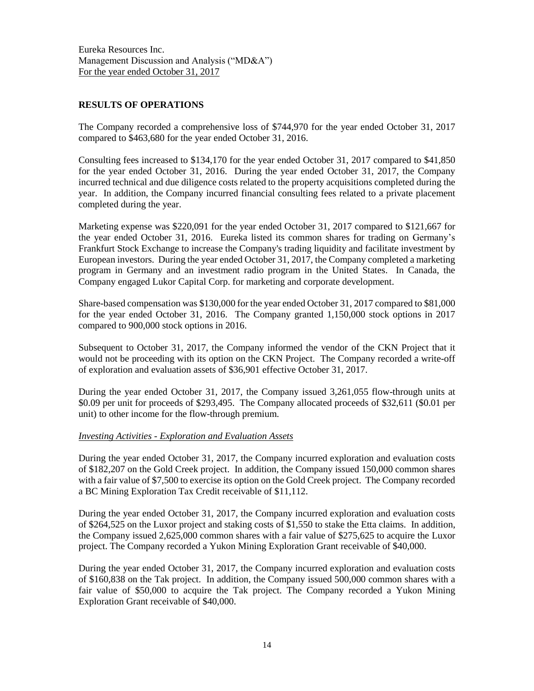## **RESULTS OF OPERATIONS**

The Company recorded a comprehensive loss of \$744,970 for the year ended October 31, 2017 compared to \$463,680 for the year ended October 31, 2016.

Consulting fees increased to \$134,170 for the year ended October 31, 2017 compared to \$41,850 for the year ended October 31, 2016. During the year ended October 31, 2017, the Company incurred technical and due diligence costs related to the property acquisitions completed during the year. In addition, the Company incurred financial consulting fees related to a private placement completed during the year.

Marketing expense was \$220,091 for the year ended October 31, 2017 compared to \$121,667 for the year ended October 31, 2016. Eureka listed its common shares for trading on Germany's Frankfurt Stock Exchange to increase the Company's trading liquidity and facilitate investment by European investors. During the year ended October 31, 2017, the Company completed a marketing program in Germany and an investment radio program in the United States. In Canada, the Company engaged Lukor Capital Corp. for marketing and corporate development.

Share-based compensation was \$130,000 for the year ended October 31, 2017 compared to \$81,000 for the year ended October 31, 2016. The Company granted 1,150,000 stock options in 2017 compared to 900,000 stock options in 2016.

Subsequent to October 31, 2017, the Company informed the vendor of the CKN Project that it would not be proceeding with its option on the CKN Project. The Company recorded a write-off of exploration and evaluation assets of \$36,901 effective October 31, 2017.

During the year ended October 31, 2017, the Company issued 3,261,055 flow-through units at \$0.09 per unit for proceeds of \$293,495. The Company allocated proceeds of \$32,611 (\$0.01 per unit) to other income for the flow-through premium.

## *Investing Activities - Exploration and Evaluation Assets*

During the year ended October 31, 2017, the Company incurred exploration and evaluation costs of \$182,207 on the Gold Creek project. In addition, the Company issued 150,000 common shares with a fair value of \$7,500 to exercise its option on the Gold Creek project. The Company recorded a BC Mining Exploration Tax Credit receivable of \$11,112.

During the year ended October 31, 2017, the Company incurred exploration and evaluation costs of \$264,525 on the Luxor project and staking costs of \$1,550 to stake the Etta claims. In addition, the Company issued 2,625,000 common shares with a fair value of \$275,625 to acquire the Luxor project. The Company recorded a Yukon Mining Exploration Grant receivable of \$40,000.

During the year ended October 31, 2017, the Company incurred exploration and evaluation costs of \$160,838 on the Tak project. In addition, the Company issued 500,000 common shares with a fair value of \$50,000 to acquire the Tak project. The Company recorded a Yukon Mining Exploration Grant receivable of \$40,000.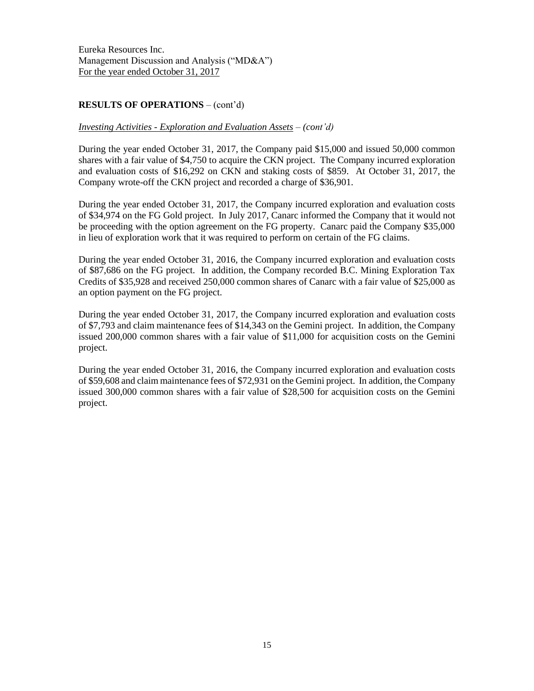# **RESULTS OF OPERATIONS** – (cont'd)

#### *Investing Activities - Exploration and Evaluation Assets – (cont'd)*

During the year ended October 31, 2017, the Company paid \$15,000 and issued 50,000 common shares with a fair value of \$4,750 to acquire the CKN project. The Company incurred exploration and evaluation costs of \$16,292 on CKN and staking costs of \$859. At October 31, 2017, the Company wrote-off the CKN project and recorded a charge of \$36,901.

During the year ended October 31, 2017, the Company incurred exploration and evaluation costs of \$34,974 on the FG Gold project. In July 2017, Canarc informed the Company that it would not be proceeding with the option agreement on the FG property. Canarc paid the Company \$35,000 in lieu of exploration work that it was required to perform on certain of the FG claims.

During the year ended October 31, 2016, the Company incurred exploration and evaluation costs of \$87,686 on the FG project. In addition, the Company recorded B.C. Mining Exploration Tax Credits of \$35,928 and received 250,000 common shares of Canarc with a fair value of \$25,000 as an option payment on the FG project.

During the year ended October 31, 2017, the Company incurred exploration and evaluation costs of \$7,793 and claim maintenance fees of \$14,343 on the Gemini project. In addition, the Company issued 200,000 common shares with a fair value of \$11,000 for acquisition costs on the Gemini project.

During the year ended October 31, 2016, the Company incurred exploration and evaluation costs of \$59,608 and claim maintenance fees of \$72,931 on the Gemini project. In addition, the Company issued 300,000 common shares with a fair value of \$28,500 for acquisition costs on the Gemini project.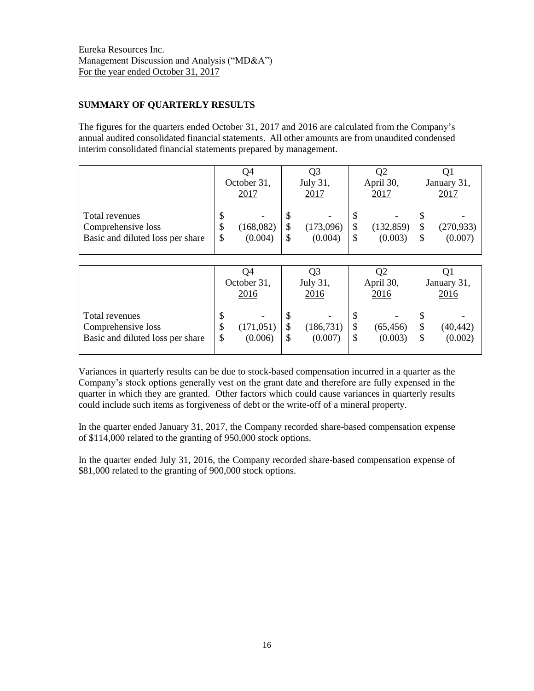# **SUMMARY OF QUARTERLY RESULTS**

The figures for the quarters ended October 31, 2017 and 2016 are calculated from the Company's annual audited consolidated financial statements. All other amounts are from unaudited condensed interim consolidated financial statements prepared by management.

|                                                                          |               | U4<br>October 31,<br>2017 | Q3<br>July 31,<br>2017 | Q2<br>April 30,<br>2017     | January 31,<br>2017         |
|--------------------------------------------------------------------------|---------------|---------------------------|------------------------|-----------------------------|-----------------------------|
| Total revenues<br>Comprehensive loss<br>Basic and diluted loss per share | Φ<br>\$<br>\$ | (168,082)<br>(0.004)      | (173,096)<br>(0.004)   | \$<br>(132, 859)<br>(0.003) | \$<br>(270, 933)<br>(0.007) |

|                                                                          |                | O4<br>October 31,<br>2016 | Q3<br>July 31,<br>2016                                  | Q2<br>April 30,<br>2016    |        | O1<br>January 31,<br>2016 |
|--------------------------------------------------------------------------|----------------|---------------------------|---------------------------------------------------------|----------------------------|--------|---------------------------|
| Total revenues<br>Comprehensive loss<br>Basic and diluted loss per share | \$<br>\$<br>\$ | (171, 051)<br>(0.006)     | \$<br>$\overline{\phantom{a}}$<br>(186, 731)<br>(0.007) | \$<br>(65, 456)<br>(0.003) | S<br>S | (40, 442)<br>(0.002)      |

Variances in quarterly results can be due to stock-based compensation incurred in a quarter as the Company's stock options generally vest on the grant date and therefore are fully expensed in the quarter in which they are granted. Other factors which could cause variances in quarterly results could include such items as forgiveness of debt or the write-off of a mineral property.

In the quarter ended January 31, 2017, the Company recorded share-based compensation expense of \$114,000 related to the granting of 950,000 stock options.

In the quarter ended July 31, 2016, the Company recorded share-based compensation expense of \$81,000 related to the granting of 900,000 stock options.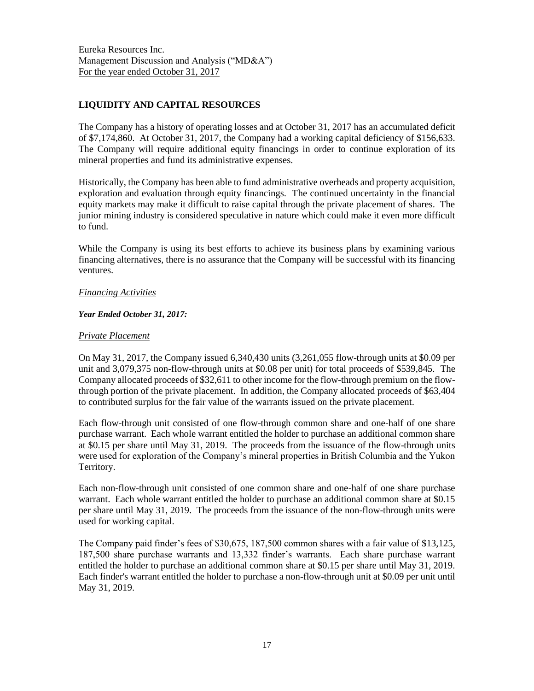# **LIQUIDITY AND CAPITAL RESOURCES**

The Company has a history of operating losses and at October 31, 2017 has an accumulated deficit of \$7,174,860. At October 31, 2017, the Company had a working capital deficiency of \$156,633. The Company will require additional equity financings in order to continue exploration of its mineral properties and fund its administrative expenses.

Historically, the Company has been able to fund administrative overheads and property acquisition, exploration and evaluation through equity financings. The continued uncertainty in the financial equity markets may make it difficult to raise capital through the private placement of shares. The junior mining industry is considered speculative in nature which could make it even more difficult to fund.

While the Company is using its best efforts to achieve its business plans by examining various financing alternatives, there is no assurance that the Company will be successful with its financing ventures.

## *Financing Activities*

## *Year Ended October 31, 2017:*

## *Private Placement*

On May 31, 2017, the Company issued 6,340,430 units (3,261,055 flow-through units at \$0.09 per unit and 3,079,375 non-flow-through units at \$0.08 per unit) for total proceeds of \$539,845. The Company allocated proceeds of \$32,611 to other income for the flow-through premium on the flowthrough portion of the private placement. In addition, the Company allocated proceeds of \$63,404 to contributed surplus for the fair value of the warrants issued on the private placement.

Each flow-through unit consisted of one flow-through common share and one-half of one share purchase warrant. Each whole warrant entitled the holder to purchase an additional common share at \$0.15 per share until May 31, 2019. The proceeds from the issuance of the flow-through units were used for exploration of the Company's mineral properties in British Columbia and the Yukon Territory.

Each non-flow-through unit consisted of one common share and one-half of one share purchase warrant. Each whole warrant entitled the holder to purchase an additional common share at \$0.15 per share until May 31, 2019. The proceeds from the issuance of the non-flow-through units were used for working capital.

The Company paid finder's fees of \$30,675, 187,500 common shares with a fair value of \$13,125, 187,500 share purchase warrants and 13,332 finder's warrants. Each share purchase warrant entitled the holder to purchase an additional common share at \$0.15 per share until May 31, 2019. Each finder's warrant entitled the holder to purchase a non-flow-through unit at \$0.09 per unit until May 31, 2019.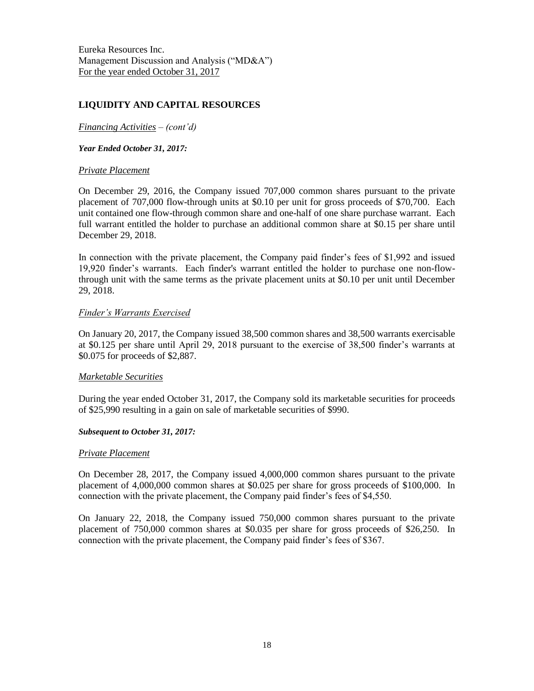## **LIQUIDITY AND CAPITAL RESOURCES**

*Financing Activities – (cont'd)*

*Year Ended October 31, 2017:*

#### *Private Placement*

On December 29, 2016, the Company issued 707,000 common shares pursuant to the private placement of 707,000 flow-through units at \$0.10 per unit for gross proceeds of \$70,700. Each unit contained one flow-through common share and one-half of one share purchase warrant. Each full warrant entitled the holder to purchase an additional common share at \$0.15 per share until December 29, 2018.

In connection with the private placement, the Company paid finder's fees of \$1,992 and issued 19,920 finder's warrants. Each finder's warrant entitled the holder to purchase one non-flowthrough unit with the same terms as the private placement units at \$0.10 per unit until December 29, 2018.

#### *Finder's Warrants Exercised*

On January 20, 2017, the Company issued 38,500 common shares and 38,500 warrants exercisable at \$0.125 per share until April 29, 2018 pursuant to the exercise of 38,500 finder's warrants at \$0.075 for proceeds of \$2,887.

#### *Marketable Securities*

During the year ended October 31, 2017, the Company sold its marketable securities for proceeds of \$25,990 resulting in a gain on sale of marketable securities of \$990.

#### *Subsequent to October 31, 2017:*

#### *Private Placement*

On December 28, 2017, the Company issued 4,000,000 common shares pursuant to the private placement of 4,000,000 common shares at \$0.025 per share for gross proceeds of \$100,000. In connection with the private placement, the Company paid finder's fees of \$4,550.

On January 22, 2018, the Company issued 750,000 common shares pursuant to the private placement of 750,000 common shares at \$0.035 per share for gross proceeds of \$26,250. In connection with the private placement, the Company paid finder's fees of \$367.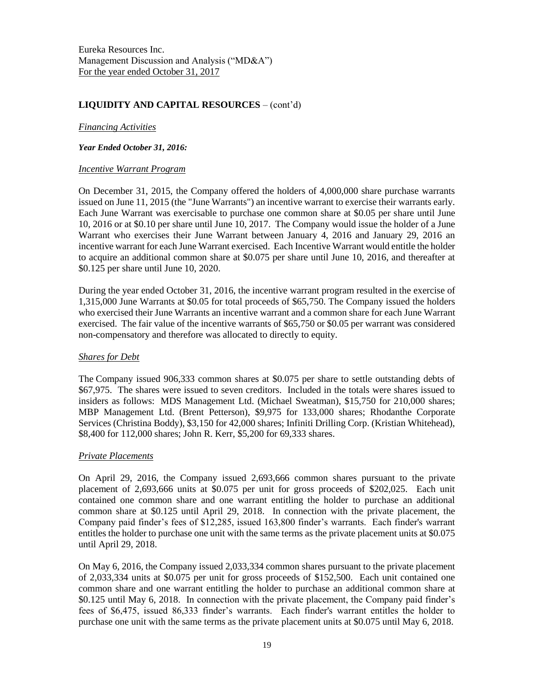## **LIQUIDITY AND CAPITAL RESOURCES** – (cont'd)

#### *Financing Activities*

#### *Year Ended October 31, 2016:*

#### *Incentive Warrant Program*

On December 31, 2015, the Company offered the holders of 4,000,000 share purchase warrants issued on June 11, 2015 (the "June Warrants") an incentive warrant to exercise their warrants early. Each June Warrant was exercisable to purchase one common share at \$0.05 per share until June 10, 2016 or at \$0.10 per share until June 10, 2017. The Company would issue the holder of a June Warrant who exercises their June Warrant between January 4, 2016 and January 29, 2016 an incentive warrant for each June Warrant exercised. Each Incentive Warrant would entitle the holder to acquire an additional common share at \$0.075 per share until June 10, 2016, and thereafter at \$0.125 per share until June 10, 2020.

During the year ended October 31, 2016, the incentive warrant program resulted in the exercise of 1,315,000 June Warrants at \$0.05 for total proceeds of \$65,750. The Company issued the holders who exercised their June Warrants an incentive warrant and a common share for each June Warrant exercised. The fair value of the incentive warrants of \$65,750 or \$0.05 per warrant was considered non-compensatory and therefore was allocated to directly to equity.

#### *Shares for Debt*

The Company issued 906,333 common shares at \$0.075 per share to settle outstanding debts of \$67,975. The shares were issued to seven creditors. Included in the totals were shares issued to insiders as follows: MDS Management Ltd. (Michael Sweatman), \$15,750 for 210,000 shares; MBP Management Ltd. (Brent Petterson), \$9,975 for 133,000 shares; Rhodanthe Corporate Services (Christina Boddy), \$3,150 for 42,000 shares; Infiniti Drilling Corp. (Kristian Whitehead), \$8,400 for 112,000 shares; John R. Kerr, \$5,200 for 69,333 shares.

## *Private Placements*

On April 29, 2016, the Company issued 2,693,666 common shares pursuant to the private placement of 2,693,666 units at \$0.075 per unit for gross proceeds of \$202,025. Each unit contained one common share and one warrant entitling the holder to purchase an additional common share at \$0.125 until April 29, 2018. In connection with the private placement, the Company paid finder's fees of \$12,285, issued 163,800 finder's warrants. Each finder's warrant entitles the holder to purchase one unit with the same terms as the private placement units at \$0.075 until April 29, 2018.

On May 6, 2016, the Company issued 2,033,334 common shares pursuant to the private placement of 2,033,334 units at \$0.075 per unit for gross proceeds of \$152,500. Each unit contained one common share and one warrant entitling the holder to purchase an additional common share at \$0.125 until May 6, 2018. In connection with the private placement, the Company paid finder's fees of \$6,475, issued 86,333 finder's warrants. Each finder's warrant entitles the holder to purchase one unit with the same terms as the private placement units at \$0.075 until May 6, 2018.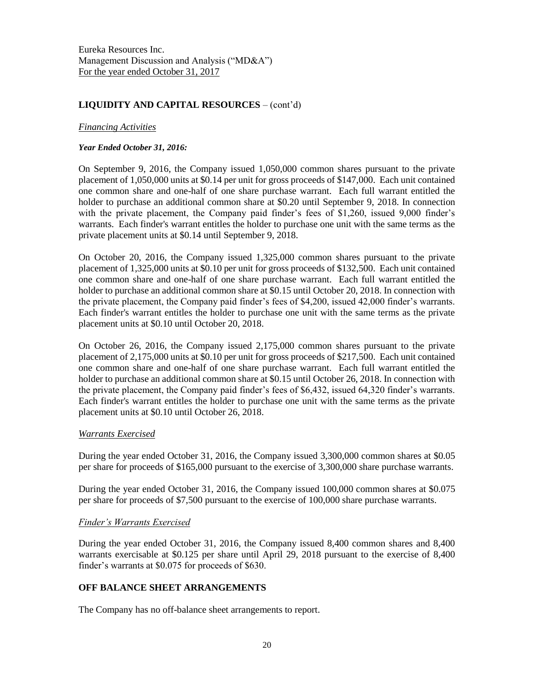# **LIQUIDITY AND CAPITAL RESOURCES** – (cont'd)

#### *Financing Activities*

#### *Year Ended October 31, 2016:*

On September 9, 2016, the Company issued 1,050,000 common shares pursuant to the private placement of 1,050,000 units at \$0.14 per unit for gross proceeds of \$147,000. Each unit contained one common share and one-half of one share purchase warrant. Each full warrant entitled the holder to purchase an additional common share at \$0.20 until September 9, 2018. In connection with the private placement, the Company paid finder's fees of \$1,260, issued 9,000 finder's warrants. Each finder's warrant entitles the holder to purchase one unit with the same terms as the private placement units at \$0.14 until September 9, 2018.

On October 20, 2016, the Company issued 1,325,000 common shares pursuant to the private placement of 1,325,000 units at \$0.10 per unit for gross proceeds of \$132,500. Each unit contained one common share and one-half of one share purchase warrant. Each full warrant entitled the holder to purchase an additional common share at \$0.15 until October 20, 2018. In connection with the private placement, the Company paid finder's fees of \$4,200, issued 42,000 finder's warrants. Each finder's warrant entitles the holder to purchase one unit with the same terms as the private placement units at \$0.10 until October 20, 2018.

On October 26, 2016, the Company issued 2,175,000 common shares pursuant to the private placement of 2,175,000 units at \$0.10 per unit for gross proceeds of \$217,500. Each unit contained one common share and one-half of one share purchase warrant. Each full warrant entitled the holder to purchase an additional common share at \$0.15 until October 26, 2018. In connection with the private placement, the Company paid finder's fees of \$6,432, issued 64,320 finder's warrants. Each finder's warrant entitles the holder to purchase one unit with the same terms as the private placement units at \$0.10 until October 26, 2018.

## *Warrants Exercised*

During the year ended October 31, 2016, the Company issued 3,300,000 common shares at \$0.05 per share for proceeds of \$165,000 pursuant to the exercise of 3,300,000 share purchase warrants.

During the year ended October 31, 2016, the Company issued 100,000 common shares at \$0.075 per share for proceeds of \$7,500 pursuant to the exercise of 100,000 share purchase warrants.

#### *Finder's Warrants Exercised*

During the year ended October 31, 2016, the Company issued 8,400 common shares and 8,400 warrants exercisable at \$0.125 per share until April 29, 2018 pursuant to the exercise of 8,400 finder's warrants at \$0.075 for proceeds of \$630.

# **OFF BALANCE SHEET ARRANGEMENTS**

The Company has no off-balance sheet arrangements to report.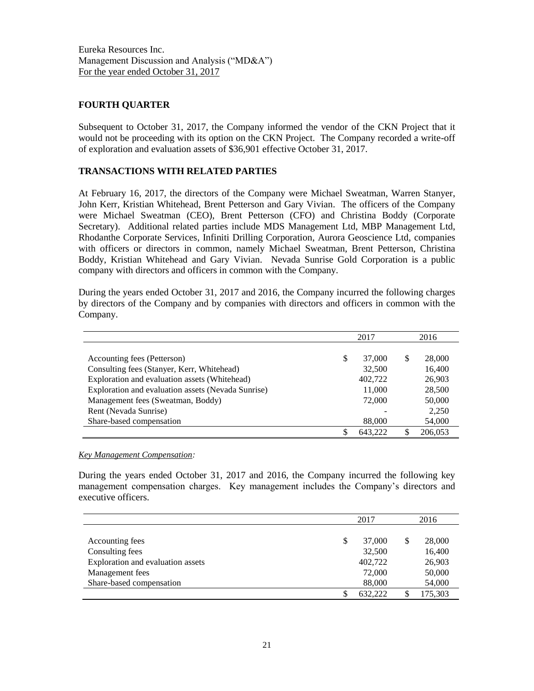## **FOURTH QUARTER**

Subsequent to October 31, 2017, the Company informed the vendor of the CKN Project that it would not be proceeding with its option on the CKN Project. The Company recorded a write-off of exploration and evaluation assets of \$36,901 effective October 31, 2017.

# **TRANSACTIONS WITH RELATED PARTIES**

At February 16, 2017, the directors of the Company were Michael Sweatman, Warren Stanyer, John Kerr, Kristian Whitehead, Brent Petterson and Gary Vivian. The officers of the Company were Michael Sweatman (CEO), Brent Petterson (CFO) and Christina Boddy (Corporate Secretary). Additional related parties include MDS Management Ltd, MBP Management Ltd, Rhodanthe Corporate Services, Infiniti Drilling Corporation, Aurora Geoscience Ltd, companies with officers or directors in common, namely Michael Sweatman, Brent Petterson, Christina Boddy, Kristian Whitehead and Gary Vivian. Nevada Sunrise Gold Corporation is a public company with directors and officers in common with the Company.

During the years ended October 31, 2017 and 2016, the Company incurred the following charges by directors of the Company and by companies with directors and officers in common with the Company.

|                                                    |   | 2017    |   | 2016    |
|----------------------------------------------------|---|---------|---|---------|
|                                                    |   |         |   |         |
| Accounting fees (Petterson)                        | S | 37,000  | S | 28,000  |
| Consulting fees (Stanyer, Kerr, Whitehead)         |   | 32,500  |   | 16,400  |
| Exploration and evaluation assets (Whitehead)      |   | 402,722 |   | 26,903  |
| Exploration and evaluation assets (Nevada Sunrise) |   | 11,000  |   | 28,500  |
| Management fees (Sweatman, Boddy)                  |   | 72,000  |   | 50,000  |
| Rent (Nevada Sunrise)                              |   |         |   | 2,250   |
| Share-based compensation                           |   | 88,000  |   | 54,000  |
|                                                    |   | 643.222 |   | 206,053 |

#### *Key Management Compensation:*

During the years ended October 31, 2017 and 2016, the Company incurred the following key management compensation charges. Key management includes the Company's directors and executive officers.

|                                   | 2017         | 2016 |         |
|-----------------------------------|--------------|------|---------|
|                                   |              |      |         |
| Accounting fees                   | \$<br>37,000 | S    | 28,000  |
| Consulting fees                   | 32,500       |      | 16,400  |
| Exploration and evaluation assets | 402,722      |      | 26,903  |
| Management fees                   | 72,000       |      | 50,000  |
| Share-based compensation          | 88,000       |      | 54,000  |
|                                   | 632.222      |      | 175,303 |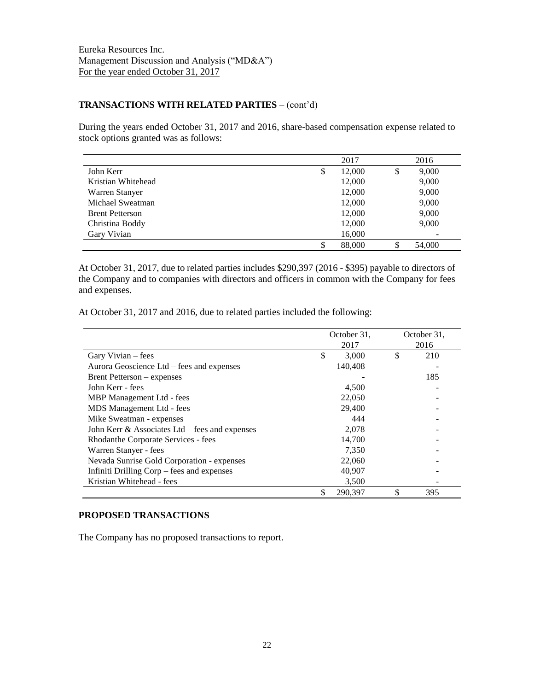## **TRANSACTIONS WITH RELATED PARTIES** – (cont'd)

During the years ended October 31, 2017 and 2016, share-based compensation expense related to stock options granted was as follows:

|                        | 2017         | 2016         |
|------------------------|--------------|--------------|
| John Kerr              | \$<br>12,000 | \$<br>9,000  |
| Kristian Whitehead     | 12,000       | 9,000        |
| Warren Stanyer         | 12,000       | 9,000        |
| Michael Sweatman       | 12,000       | 9,000        |
| <b>Brent Petterson</b> | 12,000       | 9,000        |
| Christina Boddy        | 12,000       | 9,000        |
| Gary Vivian            | 16,000       |              |
|                        | 88,000       | \$<br>54,000 |

At October 31, 2017, due to related parties includes \$290,397 (2016 - \$395) payable to directors of the Company and to companies with directors and officers in common with the Company for fees and expenses.

At October 31, 2017 and 2016, due to related parties included the following:

|                                                   | October 31, |         |    | October 31, |
|---------------------------------------------------|-------------|---------|----|-------------|
|                                                   |             | 2017    |    | 2016        |
| Gary Vivian – fees                                | \$          | 3,000   | \$ | 210         |
| Aurora Geoscience Ltd – fees and expenses         |             | 140.408 |    |             |
| Brent Petterson – expenses                        |             |         |    | 185         |
| John Kerr - fees                                  |             | 4,500   |    |             |
| MBP Management Ltd - fees                         |             | 22,050  |    |             |
| MDS Management Ltd - fees                         |             | 29,400  |    |             |
| Mike Sweatman - expenses                          |             | 444     |    |             |
| John Kerr $\&$ Associates Ltd – fees and expenses |             | 2,078   |    |             |
| Rhodanthe Corporate Services - fees               |             | 14,700  |    |             |
| Warren Stanyer - fees                             |             | 7,350   |    |             |
| Nevada Sunrise Gold Corporation - expenses        |             | 22,060  |    |             |
| Infiniti Drilling Corp – fees and expenses        |             | 40,907  |    |             |
| Kristian Whitehead - fees                         |             | 3,500   |    |             |
|                                                   |             | 290.397 |    | 395         |

# **PROPOSED TRANSACTIONS**

The Company has no proposed transactions to report.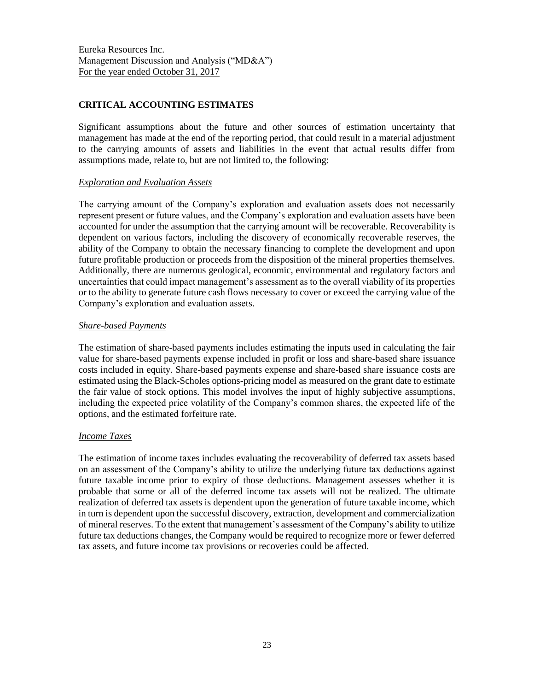# **CRITICAL ACCOUNTING ESTIMATES**

Significant assumptions about the future and other sources of estimation uncertainty that management has made at the end of the reporting period, that could result in a material adjustment to the carrying amounts of assets and liabilities in the event that actual results differ from assumptions made, relate to, but are not limited to, the following:

## *Exploration and Evaluation Assets*

The carrying amount of the Company's exploration and evaluation assets does not necessarily represent present or future values, and the Company's exploration and evaluation assets have been accounted for under the assumption that the carrying amount will be recoverable. Recoverability is dependent on various factors, including the discovery of economically recoverable reserves, the ability of the Company to obtain the necessary financing to complete the development and upon future profitable production or proceeds from the disposition of the mineral properties themselves. Additionally, there are numerous geological, economic, environmental and regulatory factors and uncertainties that could impact management's assessment as to the overall viability of its properties or to the ability to generate future cash flows necessary to cover or exceed the carrying value of the Company's exploration and evaluation assets.

## *Share-based Payments*

The estimation of share-based payments includes estimating the inputs used in calculating the fair value for share-based payments expense included in profit or loss and share-based share issuance costs included in equity. Share-based payments expense and share-based share issuance costs are estimated using the Black-Scholes options-pricing model as measured on the grant date to estimate the fair value of stock options. This model involves the input of highly subjective assumptions, including the expected price volatility of the Company's common shares, the expected life of the options, and the estimated forfeiture rate.

## *Income Taxes*

The estimation of income taxes includes evaluating the recoverability of deferred tax assets based on an assessment of the Company's ability to utilize the underlying future tax deductions against future taxable income prior to expiry of those deductions. Management assesses whether it is probable that some or all of the deferred income tax assets will not be realized. The ultimate realization of deferred tax assets is dependent upon the generation of future taxable income, which in turn is dependent upon the successful discovery, extraction, development and commercialization of mineral reserves. To the extent that management's assessment of the Company's ability to utilize future tax deductions changes, the Company would be required to recognize more or fewer deferred tax assets, and future income tax provisions or recoveries could be affected.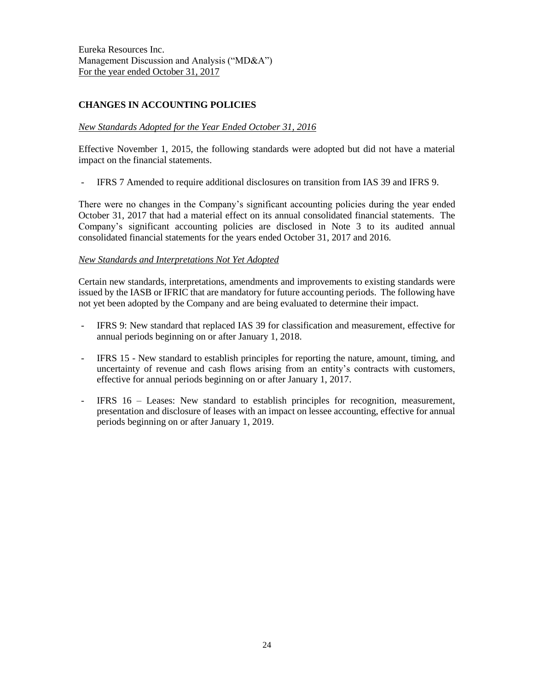# **CHANGES IN ACCOUNTING POLICIES**

#### *New Standards Adopted for the Year Ended October 31, 2016*

Effective November 1, 2015, the following standards were adopted but did not have a material impact on the financial statements.

- IFRS 7 Amended to require additional disclosures on transition from IAS 39 and IFRS 9.

There were no changes in the Company's significant accounting policies during the year ended October 31, 2017 that had a material effect on its annual consolidated financial statements. The Company's significant accounting policies are disclosed in Note 3 to its audited annual consolidated financial statements for the years ended October 31, 2017 and 2016.

#### *New Standards and Interpretations Not Yet Adopted*

Certain new standards, interpretations, amendments and improvements to existing standards were issued by the IASB or IFRIC that are mandatory for future accounting periods. The following have not yet been adopted by the Company and are being evaluated to determine their impact.

- IFRS 9: New standard that replaced IAS 39 for classification and measurement, effective for annual periods beginning on or after January 1, 2018.
- IFRS 15 New standard to establish principles for reporting the nature, amount, timing, and uncertainty of revenue and cash flows arising from an entity's contracts with customers, effective for annual periods beginning on or after January 1, 2017.
- IFRS 16 Leases: New standard to establish principles for recognition, measurement, presentation and disclosure of leases with an impact on lessee accounting, effective for annual periods beginning on or after January 1, 2019.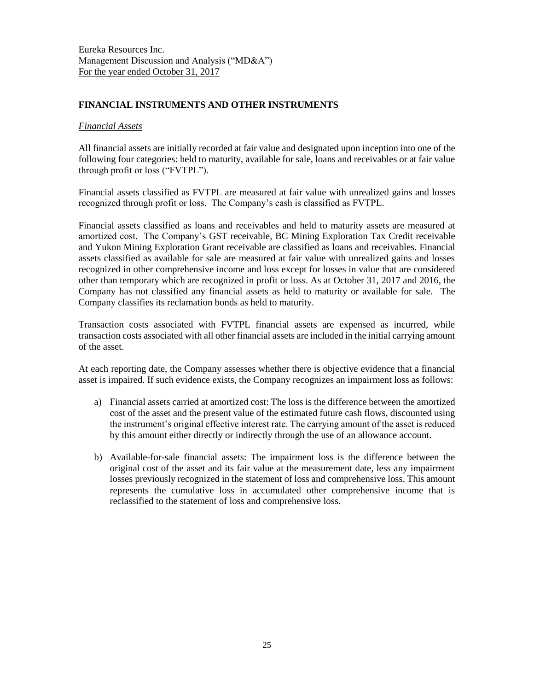## **FINANCIAL INSTRUMENTS AND OTHER INSTRUMENTS**

#### *Financial Assets*

All financial assets are initially recorded at fair value and designated upon inception into one of the following four categories: held to maturity, available for sale, loans and receivables or at fair value through profit or loss ("FVTPL").

Financial assets classified as FVTPL are measured at fair value with unrealized gains and losses recognized through profit or loss. The Company's cash is classified as FVTPL.

Financial assets classified as loans and receivables and held to maturity assets are measured at amortized cost. The Company's GST receivable, BC Mining Exploration Tax Credit receivable and Yukon Mining Exploration Grant receivable are classified as loans and receivables. Financial assets classified as available for sale are measured at fair value with unrealized gains and losses recognized in other comprehensive income and loss except for losses in value that are considered other than temporary which are recognized in profit or loss. As at October 31, 2017 and 2016, the Company has not classified any financial assets as held to maturity or available for sale. The Company classifies its reclamation bonds as held to maturity.

Transaction costs associated with FVTPL financial assets are expensed as incurred, while transaction costs associated with all other financial assets are included in the initial carrying amount of the asset.

At each reporting date, the Company assesses whether there is objective evidence that a financial asset is impaired. If such evidence exists, the Company recognizes an impairment loss as follows:

- a) Financial assets carried at amortized cost: The loss is the difference between the amortized cost of the asset and the present value of the estimated future cash flows, discounted using the instrument's original effective interest rate. The carrying amount of the asset is reduced by this amount either directly or indirectly through the use of an allowance account.
- b) Available-for-sale financial assets: The impairment loss is the difference between the original cost of the asset and its fair value at the measurement date, less any impairment losses previously recognized in the statement of loss and comprehensive loss. This amount represents the cumulative loss in accumulated other comprehensive income that is reclassified to the statement of loss and comprehensive loss.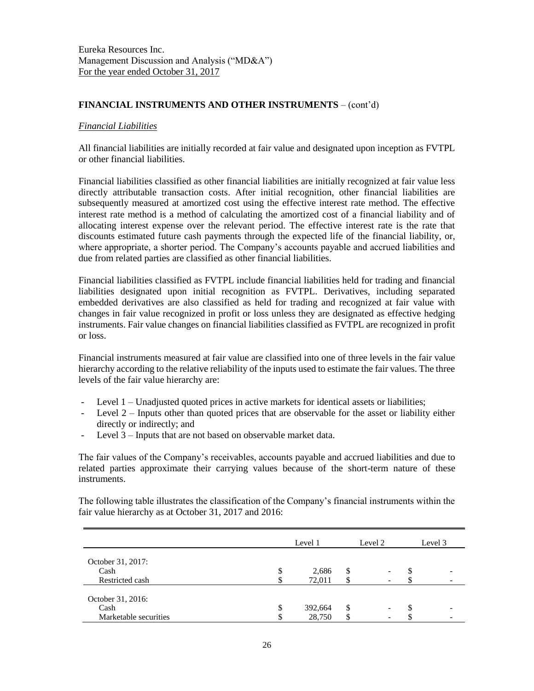## **FINANCIAL INSTRUMENTS AND OTHER INSTRUMENTS** – (cont'd)

#### *Financial Liabilities*

All financial liabilities are initially recorded at fair value and designated upon inception as FVTPL or other financial liabilities.

Financial liabilities classified as other financial liabilities are initially recognized at fair value less directly attributable transaction costs. After initial recognition, other financial liabilities are subsequently measured at amortized cost using the effective interest rate method. The effective interest rate method is a method of calculating the amortized cost of a financial liability and of allocating interest expense over the relevant period. The effective interest rate is the rate that discounts estimated future cash payments through the expected life of the financial liability, or, where appropriate, a shorter period. The Company's accounts payable and accrued liabilities and due from related parties are classified as other financial liabilities.

Financial liabilities classified as FVTPL include financial liabilities held for trading and financial liabilities designated upon initial recognition as FVTPL. Derivatives, including separated embedded derivatives are also classified as held for trading and recognized at fair value with changes in fair value recognized in profit or loss unless they are designated as effective hedging instruments. Fair value changes on financial liabilities classified as FVTPL are recognized in profit or loss.

Financial instruments measured at fair value are classified into one of three levels in the fair value hierarchy according to the relative reliability of the inputs used to estimate the fair values. The three levels of the fair value hierarchy are:

- Level 1 Unadjusted quoted prices in active markets for identical assets or liabilities;
- Level  $2$  Inputs other than quoted prices that are observable for the asset or liability either directly or indirectly; and
- Level 3 Inputs that are not based on observable market data.

The fair values of the Company's receivables, accounts payable and accrued liabilities and due to related parties approximate their carrying values because of the short-term nature of these instruments.

The following table illustrates the classification of the Company's financial instruments within the fair value hierarchy as at October 31, 2017 and 2016:

|                                                    | Level 1                 |          | Level 2 |   | Level 3 |
|----------------------------------------------------|-------------------------|----------|---------|---|---------|
| October 31, 2017:<br>Cash                          |                         |          |         |   |         |
| Restricted cash                                    | \$<br>2,686<br>72,011   | \$<br>Φ  |         | D |         |
| October 31, 2016:<br>Cash<br>Marketable securities | \$<br>392,664<br>28,750 | \$<br>\$ |         | S |         |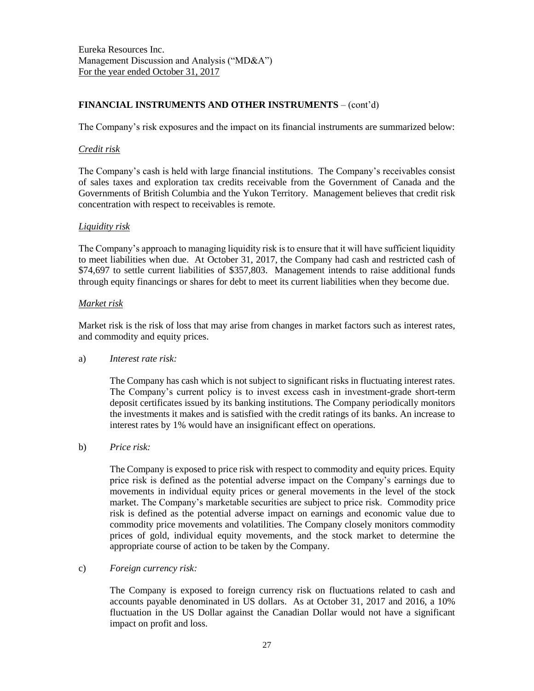# **FINANCIAL INSTRUMENTS AND OTHER INSTRUMENTS** – (cont'd)

The Company's risk exposures and the impact on its financial instruments are summarized below:

#### *Credit risk*

The Company's cash is held with large financial institutions. The Company's receivables consist of sales taxes and exploration tax credits receivable from the Government of Canada and the Governments of British Columbia and the Yukon Territory. Management believes that credit risk concentration with respect to receivables is remote.

## *Liquidity risk*

The Company's approach to managing liquidity risk is to ensure that it will have sufficient liquidity to meet liabilities when due. At October 31, 2017, the Company had cash and restricted cash of \$74,697 to settle current liabilities of \$357,803. Management intends to raise additional funds through equity financings or shares for debt to meet its current liabilities when they become due.

## *Market risk*

Market risk is the risk of loss that may arise from changes in market factors such as interest rates, and commodity and equity prices.

## a) *Interest rate risk:*

The Company has cash which is not subject to significant risks in fluctuating interest rates. The Company's current policy is to invest excess cash in investment-grade short-term deposit certificates issued by its banking institutions. The Company periodically monitors the investments it makes and is satisfied with the credit ratings of its banks. An increase to interest rates by 1% would have an insignificant effect on operations.

b) *Price risk:*

The Company is exposed to price risk with respect to commodity and equity prices. Equity price risk is defined as the potential adverse impact on the Company's earnings due to movements in individual equity prices or general movements in the level of the stock market. The Company's marketable securities are subject to price risk. Commodity price risk is defined as the potential adverse impact on earnings and economic value due to commodity price movements and volatilities. The Company closely monitors commodity prices of gold, individual equity movements, and the stock market to determine the appropriate course of action to be taken by the Company.

## c) *Foreign currency risk:*

The Company is exposed to foreign currency risk on fluctuations related to cash and accounts payable denominated in US dollars. As at October 31, 2017 and 2016, a 10% fluctuation in the US Dollar against the Canadian Dollar would not have a significant impact on profit and loss.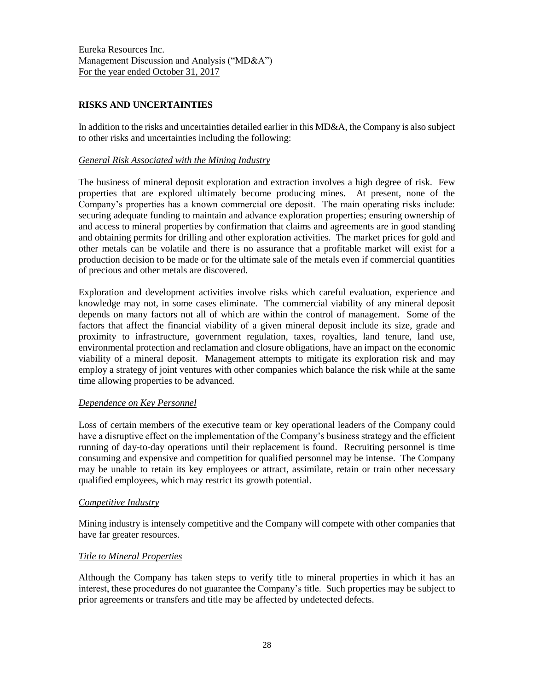# **RISKS AND UNCERTAINTIES**

In addition to the risks and uncertainties detailed earlier in this MD&A, the Company is also subject to other risks and uncertainties including the following:

## *General Risk Associated with the Mining Industry*

The business of mineral deposit exploration and extraction involves a high degree of risk. Few properties that are explored ultimately become producing mines. At present, none of the Company's properties has a known commercial ore deposit. The main operating risks include: securing adequate funding to maintain and advance exploration properties; ensuring ownership of and access to mineral properties by confirmation that claims and agreements are in good standing and obtaining permits for drilling and other exploration activities. The market prices for gold and other metals can be volatile and there is no assurance that a profitable market will exist for a production decision to be made or for the ultimate sale of the metals even if commercial quantities of precious and other metals are discovered.

Exploration and development activities involve risks which careful evaluation, experience and knowledge may not, in some cases eliminate. The commercial viability of any mineral deposit depends on many factors not all of which are within the control of management. Some of the factors that affect the financial viability of a given mineral deposit include its size, grade and proximity to infrastructure, government regulation, taxes, royalties, land tenure, land use, environmental protection and reclamation and closure obligations, have an impact on the economic viability of a mineral deposit. Management attempts to mitigate its exploration risk and may employ a strategy of joint ventures with other companies which balance the risk while at the same time allowing properties to be advanced.

## *Dependence on Key Personnel*

Loss of certain members of the executive team or key operational leaders of the Company could have a disruptive effect on the implementation of the Company's business strategy and the efficient running of day-to-day operations until their replacement is found. Recruiting personnel is time consuming and expensive and competition for qualified personnel may be intense. The Company may be unable to retain its key employees or attract, assimilate, retain or train other necessary qualified employees, which may restrict its growth potential.

#### *Competitive Industry*

Mining industry is intensely competitive and the Company will compete with other companies that have far greater resources.

## *Title to Mineral Properties*

Although the Company has taken steps to verify title to mineral properties in which it has an interest, these procedures do not guarantee the Company's title. Such properties may be subject to prior agreements or transfers and title may be affected by undetected defects.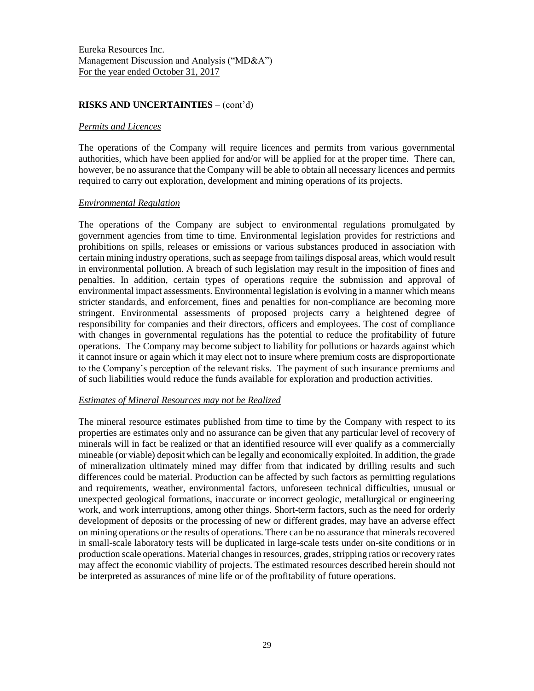#### **RISKS AND UNCERTAINTIES** – (cont'd)

#### *Permits and Licences*

The operations of the Company will require licences and permits from various governmental authorities, which have been applied for and/or will be applied for at the proper time. There can, however, be no assurance that the Company will be able to obtain all necessary licences and permits required to carry out exploration, development and mining operations of its projects.

#### *Environmental Regulation*

The operations of the Company are subject to environmental regulations promulgated by government agencies from time to time. Environmental legislation provides for restrictions and prohibitions on spills, releases or emissions or various substances produced in association with certain mining industry operations, such as seepage from tailings disposal areas, which would result in environmental pollution. A breach of such legislation may result in the imposition of fines and penalties. In addition, certain types of operations require the submission and approval of environmental impact assessments. Environmental legislation is evolving in a manner which means stricter standards, and enforcement, fines and penalties for non-compliance are becoming more stringent. Environmental assessments of proposed projects carry a heightened degree of responsibility for companies and their directors, officers and employees. The cost of compliance with changes in governmental regulations has the potential to reduce the profitability of future operations. The Company may become subject to liability for pollutions or hazards against which it cannot insure or again which it may elect not to insure where premium costs are disproportionate to the Company's perception of the relevant risks. The payment of such insurance premiums and of such liabilities would reduce the funds available for exploration and production activities.

## *Estimates of Mineral Resources may not be Realized*

The mineral resource estimates published from time to time by the Company with respect to its properties are estimates only and no assurance can be given that any particular level of recovery of minerals will in fact be realized or that an identified resource will ever qualify as a commercially mineable (or viable) deposit which can be legally and economically exploited. In addition, the grade of mineralization ultimately mined may differ from that indicated by drilling results and such differences could be material. Production can be affected by such factors as permitting regulations and requirements, weather, environmental factors, unforeseen technical difficulties, unusual or unexpected geological formations, inaccurate or incorrect geologic, metallurgical or engineering work, and work interruptions, among other things. Short-term factors, such as the need for orderly development of deposits or the processing of new or different grades, may have an adverse effect on mining operations or the results of operations. There can be no assurance that minerals recovered in small-scale laboratory tests will be duplicated in large-scale tests under on-site conditions or in production scale operations. Material changes in resources, grades, stripping ratios or recovery rates may affect the economic viability of projects. The estimated resources described herein should not be interpreted as assurances of mine life or of the profitability of future operations.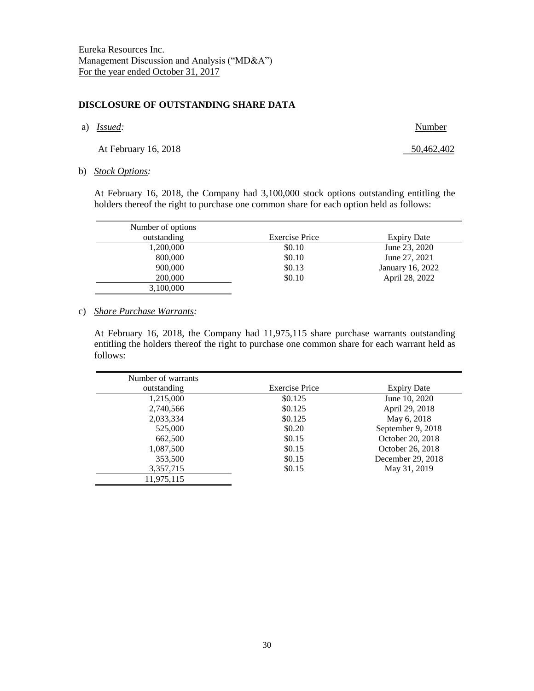#### **DISCLOSURE OF OUTSTANDING SHARE DATA**

a) *Issued:* Number

At February 16, 2018 50,462,402

b) *Stock Options:*

At February 16, 2018, the Company had 3,100,000 stock options outstanding entitling the holders thereof the right to purchase one common share for each option held as follows:

| Number of options |                       |                  |
|-------------------|-----------------------|------------------|
| outstanding       | <b>Exercise Price</b> | Expiry Date      |
| 1,200,000         | \$0.10                | June 23, 2020    |
| 800,000           | \$0.10                | June 27, 2021    |
| 900,000           | \$0.13                | January 16, 2022 |
| 200,000           | \$0.10                | April 28, 2022   |
| 3,100,000         |                       |                  |

#### c) *Share Purchase Warrants:*

At February 16, 2018, the Company had 11,975,115 share purchase warrants outstanding entitling the holders thereof the right to purchase one common share for each warrant held as follows:

| Number of warrants |                       |                    |
|--------------------|-----------------------|--------------------|
| outstanding        | <b>Exercise Price</b> | <b>Expiry Date</b> |
| 1,215,000          | \$0.125               | June 10, 2020      |
| 2,740,566          | \$0.125               | April 29, 2018     |
| 2,033,334          | \$0.125               | May 6, 2018        |
| 525,000            | \$0.20                | September 9, 2018  |
| 662,500            | \$0.15                | October 20, 2018   |
| 1,087,500          | \$0.15                | October 26, 2018   |
| 353,500            | \$0.15                | December 29, 2018  |
| 3,357,715          | \$0.15                | May 31, 2019       |
| 11,975,115         |                       |                    |